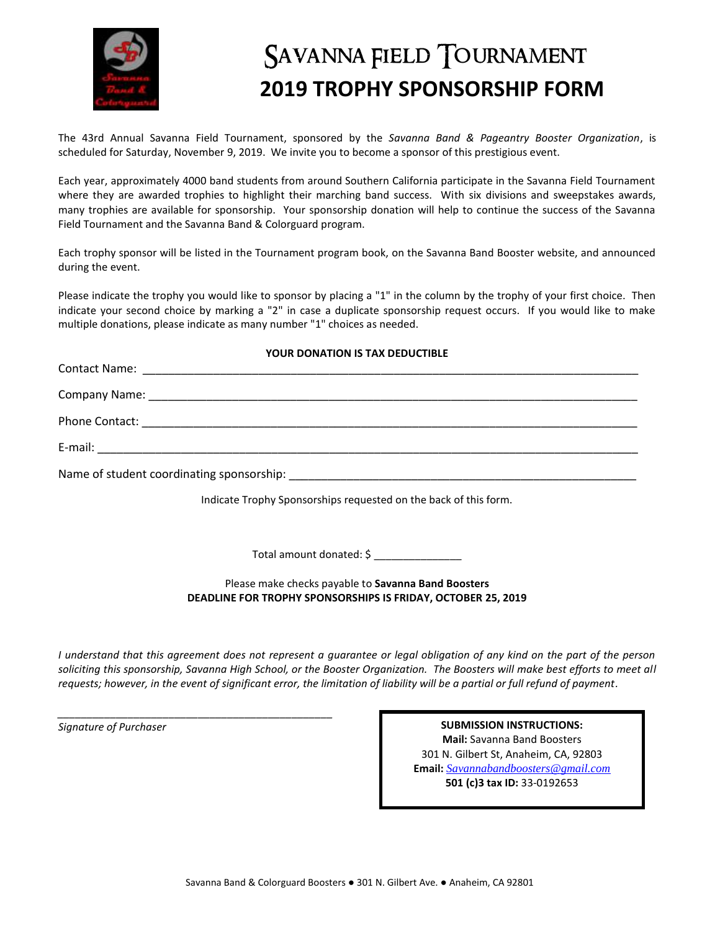

## SAVANNA FIELD TOURNAMENT  **2019 TROPHY SPONSORSHIP FORM**

The 43rd Annual Savanna Field Tournament, sponsored by the *Savanna Band & Pageantry Booster Organization*, is scheduled for Saturday, November 9, 2019. We invite you to become a sponsor of this prestigious event.

Each year, approximately 4000 band students from around Southern California participate in the Savanna Field Tournament where they are awarded trophies to highlight their marching band success. With six divisions and sweepstakes awards, many trophies are available for sponsorship. Your sponsorship donation will help to continue the success of the Savanna Field Tournament and the Savanna Band & Colorguard program.

Each trophy sponsor will be listed in the Tournament program book, on the Savanna Band Booster website, and announced during the event.

Please indicate the trophy you would like to sponsor by placing a "1" in the column by the trophy of your first choice. Then indicate your second choice by marking a "2" in case a duplicate sponsorship request occurs. If you would like to make multiple donations, please indicate as many number "1" choices as needed.

## **YOUR DONATION IS TAX DEDUCTIBLE**

| Indicate Trophy Sponsorships requested on the back of this form. |  |
|------------------------------------------------------------------|--|

Total amount donated: \$ \_\_\_\_\_\_

Please make checks payable to **Savanna Band Boosters DEADLINE FOR TROPHY SPONSORSHIPS IS FRIDAY, OCTOBER 25, 2019**

*I understand that this agreement does not represent a guarantee or legal obligation of any kind on the part of the person soliciting this sponsorship, Savanna High School, or the Booster Organization. The Boosters will make best efforts to meet all requests; however, in the event of significant error, the limitation of liability will be a partial or full refund of payment.*

*\_\_\_\_\_\_\_\_\_\_\_\_\_\_\_\_\_\_\_\_\_\_\_\_\_\_\_\_\_\_\_\_\_\_\_\_\_\_\_\_\_\_\_\_\_\_\_*

*Signature of Purchaser* **SUBMISSION INSTRUCTIONS: Mail:** Savanna Band Boosters 301 N. Gilbert St, Anaheim, CA, 92803 **Email:** *[Savannabandboosters@gmail.com](mailto:Savannabandboosters@gmail.com)* **501 (c)3 tax ID:** 33-0192653